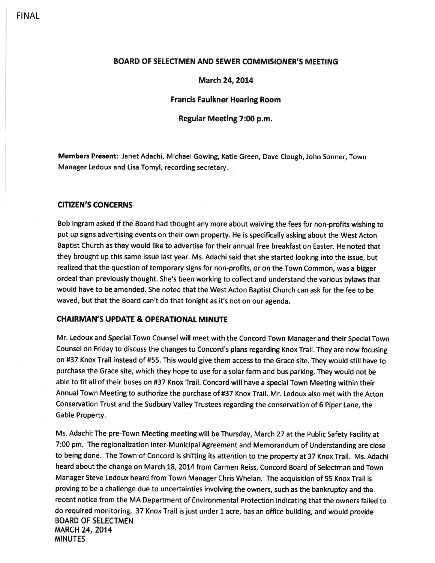## FINAL

### BOARD OF SELECTMEN AND SEWER COMMISIONER'S MEETING

### March 24, 2014

### Francis Faulkner Hearing Room

## Regular Meeting 7:00 p.m.

Members Present: Janet Adachi, Michael Gowing, Katie Green, Dave Clough, John Sonner, Town Manager Ledoux and Lisa Tomyl, recording secretary.

### CITIZEN'S CONCERNS

Bob Ingram asked if the Board had thought any more about waiving the fees for non-profits wishing to pu<sup>t</sup> up signs advertising events on their own property. He is specifically asking about the West Acton Baptist Church as they would like to advertise for their annual free breakfast on Easter. He noted that they brought up this same issue last year. Ms. Adachi said that she started looking into the issue, but realized that the question of temporary signs for non-profits, or on the Town Common, was <sup>a</sup> bigger ordeal than previously thought. She's been working to collect and understand the various bylaws that would have to be amended. She noted that the West Acton Baptist Church can ask for the fee to be waved, but that the Board can't do that tonight as it's not on our agenda.

#### CHAIRMAN'S UPDATE & OPERATIONAL MINUTE

Mr. Ledoux and Special Town Counsel will meet with the Concord Town Manager and their Special Town Counsel on Friday to discuss the changes to Concord's <sup>p</sup>lans regarding Knox Trail. They are now focusing on #37 Knox Trail instead of #55. This would <sup>g</sup>ive them access to the Grace site. They would still have to purchase the Grace site, which they hope to use for <sup>a</sup> solar farm and bus parking. They would not be able to fit all of their buses on #37 Knox Trail. Concord will have <sup>a</sup> special Town Meeting within their Annual Town Meeting to authorize the purchase of #37 Knox Trail. Mr. Ledoux also met with the Acton Conservation Trust and the Sudbury Valley Trustees regarding the conservation of <sup>6</sup> Piper Lane, the Gable Property.

Ms. Adachi: The pre-Town Meeting meeting will be Thursday, March <sup>27</sup> at the Public Safety Facility at 7:00 pm. The regionalization inter-Municipal Agreement and Memorandum of Understanding are close to being done. The Town of Concord is shifting its attention to the property at <sup>37</sup> Knox Trail. Ms. Adachi heard about the change on March 18, 2014 from Carmen Reiss, Concord Board of Selectman and Town Manager Steve Ledoux heard from Town Manager Chris Whelan. The acquisition of <sup>55</sup> Knox Trail is proving to be <sup>a</sup> challenge due to uncertainties involving the owners, such as the bankruptcy and the recent notice from the MA Department of Environmental Protection indicating that the owners failed to do required monitoring. <sup>37</sup> Knox Trail is just under <sup>1</sup> acre, has an office building, and would provide BOARD OF SELECTMEN MARCH 24, 2014 **MINUTES**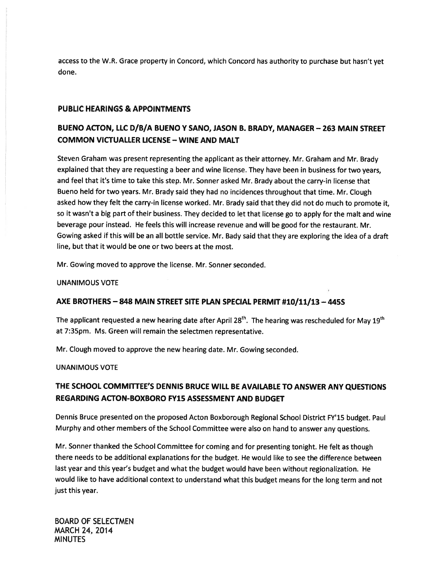access to the W.R. Grace property in Concord, which Concord has authority to purchase but hasn't ye<sup>t</sup> done.

## PUBLIC HEARINGS & APPOINTMENTS

# BUENO ACTON, LLC D/B/A BUENO Y SANO, JASON B. BRADY, MANAGER — 263 MAIN STREET COMMON VICTUALLER LICENSE — WINE AND MALT

Steven Graham was presen<sup>t</sup> representing the applicant as their attorney. Mr. Graham and Mr. Brady explained that they are requesting <sup>a</sup> beer and wine license. They have been in business for two years, and feel that it's time to take this step. Mr. Sonner asked Mr. Brady about the carry-in license that Bueno held for two years. Mr. Brady said they had no incidences throughout that time. Mr. Clough asked how they felt the carry-in license worked. Mr. Brady said that they did not do much to promote it, so it wasn't <sup>a</sup> big par<sup>t</sup> of their business. They decided to let that license go to apply for the malt and wine beverage pour instead. He feels this will increase revenue and will be good for the restaurant. Mr. Gowing asked if this will be an all bottle service. Mr. Bady said that they are exploring the idea of <sup>a</sup> draft line, but that it would be one or two beers at the most.

Mr. Gowing moved to approve the license. Mr. Sonner seconded.

UNANIMOUS VOTE

## AXE BROTHERS — 848 MAIN STREET SITE PLAN SPECIAL PERMIT #10/11/13 — 445S

The applicant requested a new hearing date after April 28<sup>th</sup>. The hearing was rescheduled for May 19<sup>th</sup> at 7:35pm. Ms. Green will remain the selectmen representative.

Mr. Clough moved to approve the new hearing date. Mr. Gowing seconded.

UNANIMOUS VOTE

# THE SCHOOL COMMITrEE'S DENNIS BRUCE WILL BE AVAILABLE TO ANSWER ANY QUESTIONS REGARDING ACTON-BOXBORO FY15 ASSESSMENT AND BUDGET

Dennis Bruce presented on the propose<sup>d</sup> Acton Boxborough Regional School District FY'15 budget. Paul Murphy and other members of the School Committee were also on hand to answer any questions.

Mr. Sonner thanked the School Committee for coming and for presenting tonight. He felt as though there needs to be additional explanations for the budget. He would like to see the difference between last year and this year's budget and what the budget would have been without regionalization. He would like to have additional context to understand what this budget means for the long term and not just this year.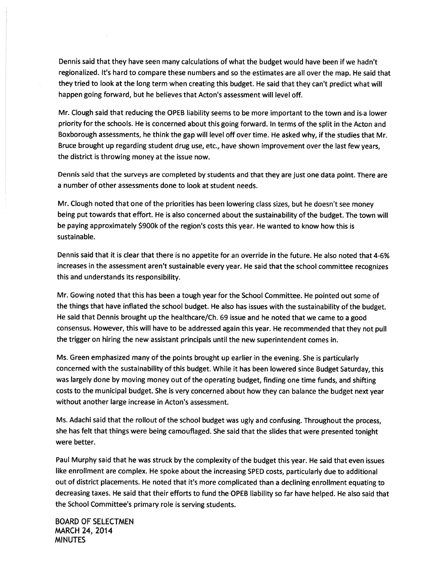Dennis said that they have seen many calculations of what the budget would have been if we hadn't regionalized. It's hard to compare these numbers and so the estimates are all over the map. He said that they tried to look at the long term when creating this budget. He said that they can't predict what will happen going forward, but he believes that Acton's assessment will level off.

Mr. dough said that reducing the OPEB liability seems to be more important to the town and isa lower priority for the schools. He is concerned about this going forward. In terms of the split in the Acton and Boxborough assessments, he think the gap will level off over time. He asked why, if the studies that Mr. Bruce brought up regarding student drug use, etc., have shown improvement over the last few years, the district is throwing money at the issue now.

Dennis said that the surveys are completed by students and that they are just one data point. There are <sup>a</sup> number of other assessments done to look at student needs.

Mr. dough noted that one of the priorities has been lowering class sizes, but he doesn't see money being pu<sup>t</sup> towards that effort. He is also concerned about the sustainability of the budget. The town will be paying approximately \$900k of the region's costs this year. He wanted to know how this is sustainable.

Dennis said that it is clear that there is no appetite for an override in the future. He also noted that 4-6% increases in the assessment aren't sustainable every year. He said that the school committee recognizes this and understands its responsibility.

Mr. Gowing noted that this has been <sup>a</sup> tough year for the School Committee. He pointed out some of the things that have inflated the school budget. He also has issues with the sustainability of the budget. He said that Dennis brought up the healthcare/Ch. <sup>69</sup> issue and he noted that we came to <sup>a</sup> goo<sup>d</sup> consensus. However, this will have to be addressed again this year. He recommended that they not pull the trigger on hiring the new assistant principals until the new superintendent comes in.

Ms. Green emphasized many of the points brought up earlier in the evening. She is particularly concerned with the sustainability of this budget. While it has been lowered since Budget Saturday, this was largely done by moving money out of the operating budget, finding one time funds, and shifting costs to the municipal budget. She is very concerned about how they can balance the budget next year without another large increase in Acton's assessment.

Ms. Adachi said that the rollout of the school budget was ugly and confusing. Throughout the process, she has felt that things were being camouflaged. She said that the slides that were presented tonight were better.

Paul Murphy said that he was struck by the complexity of the budget this year. He said that even issues like enrollment are complex. He spoke about the increasing SPED costs, particularly due to additional out of district <sup>p</sup>lacements. He noted that it's more complicated than <sup>a</sup> declining enrollment equating to decreasing taxes. He said that their efforts to fund the OPEB liability so far have helped. He also said that the School Committee's primary role is serving students.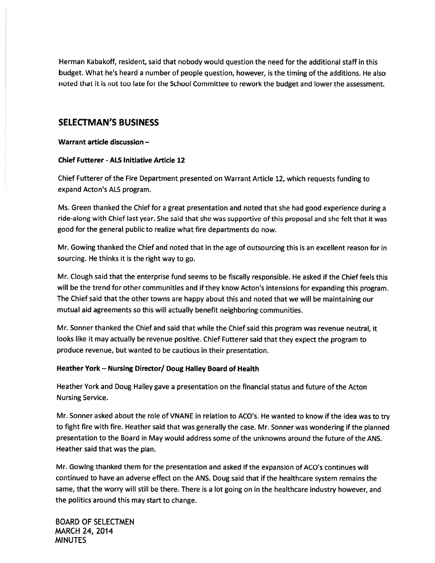Herman Kabakoff, resident, said that nobody would question the need for the additional staff in this budget. What he's heard <sup>a</sup> number of people question, however, is the timing of the additions. He also noted that it is not too late for the School Committee to rework the budget and lower the assessment.

## SELECTMAN'S BUSINESS

Warrant article discussion —

## Chief Futterer -ALS Initiative Article 12

Chief Futterer of the Fire Department presented on Warrant Article 12, which requests funding to expand Acton's ALS program.

Ms. Green thanked the Chief for <sup>a</sup> grea<sup>t</sup> presentation and noted that she had goo<sup>d</sup> experience during <sup>a</sup> ride-along with Chief last year. She said that she was supportive of this proposal and she felt that it was good for the general public to realize what fire departments do now.

Mr. Gowing thanked the Chief and noted that in the age of outsourcing this is an excellent reason for in sourcing. He thinks it is the right way to go.

Mr. Clough said that the enterprise fund seems to be fiscally responsible. He asked if the Chief feels this will be the trend for other communities and if they know Acton's intensions for expanding this program. The Chief said that the other towns are happy about this and noted that we will be maintaining our mutual aid agreements so this will actually benefit neighboring communities.

Mr. Sonner thanked the Chief and said that while the Chief said this program was revenue neutral, it looks like it may actually be revenue positive. Chief Futterer said that they expec<sup>t</sup> the program to produce revenue, but wanted to be cautious in their presentation.

### Heather York - Nursing Director/ Doug Halley Board of Health

Heather York and Doug Halley gave <sup>a</sup> presentation on the financial status and future of the Acton Nursing Service.

Mr. Sonner asked about the role of VNANE in relation to ACO's. He wanted to know if the idea was to try to fight fire with fire. Heather said that was generally the case. Mr. Sonner was wondering if the <sup>p</sup>lanned presentation to the Board in May would address some of the unknowns around the future of the ANS. Heather said that was the plan.

Mr. Gowing thanked them for the presentation and asked if the expansion of ACO's continues will continued to have an adverse effect on the ANS. Doug said that if the healthcare system remains the same, that the worry will still be there. There is <sup>a</sup> lot going on in the healthcare industry however, and the politics around this may start to change.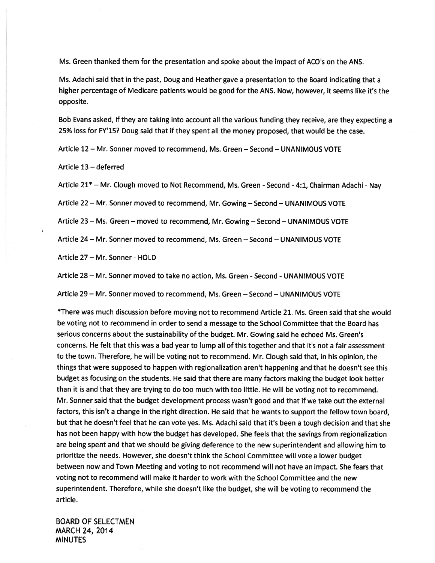Ms. Green thanked them for the presentation and spoke about the impact of ACO's on the ANS.

Ms. Adachi said that in the past, Doug and Heather gave <sup>a</sup> presentation to the Board indicating that <sup>a</sup> higher percentage of Medicare patients would be good for the ANS. Now, however, it seems like it's the opposite.

Bob Evans asked, if they are taking into account all the various funding they receive, are they expecting <sup>a</sup> 25% loss for FY'15? Doug said that if they spen<sup>t</sup> all the money proposed, that would be the case.

Article 12 — Mr. Sonner moved to recommend, Ms. Green — Second — UNANIMOUS VOTE

Article 13 — deferred

Article 21\* - Mr. Clough moved to Not Recommend, Ms. Green - Second - 4:1, Chairman Adachi - Nav

Article 22 - Mr. Sonner moved to recommend, Mr. Gowing - Second - UNANIMOUS VOTE

Article 23 — Ms. Green — moved to recommend, Mr. Gowing — Second — UNANIMOUS VOTE

Article 24— Mr. Sonner moved to recommend, Ms. Green — Second — UNANIMOUS VOTE

Article 27— Mr. Sonner - HOLD

Article 28 – Mr. Sonner moved to take no action, Ms. Green - Second - UNANIMOUS VOTE

Article 29 — Mr. Sonner moved to recommend, Ms. Green — Second — UNANIMOUS VOTE

\*There was much discussion before moving not to recommend Article 21. Ms. Green said that she would be voting not to recommend in order to send <sup>a</sup> message to the School Committee that the Board has serious concerns about the sustainability of the budget. Mr. Gowing said he echoed Ms. Green's concerns. He felt that this was <sup>a</sup> bad year to lump all of this together and that it's not <sup>a</sup> fair assessment to the town. Therefore, he will be voting not to recommend. Mr. Clough said that, in his opinion, the things that were supposed to happen with regionalization aren't happening and that he doesn't see this budget as focusing on the students. He said that there are many factors making the budget look better than it is and that they are trying to do too much with too little. He will be voting not to recommend. Mr. Sonner said that the budget development process wasn't good and that if we take out the external factors, this isn't <sup>a</sup> change in the right direction. He said that he wants to suppor<sup>t</sup> the fellow town board, but that he doesn't feel that he can vote yes. Ms. Adachi said that it's been <sup>a</sup> tough decision and that she has not been happy with how the budget has developed. She feels that the savings from regionalization are being spen<sup>t</sup> and that we should be giving deference to the new superintendent and allowing him to prioritize the needs. However, she doesn't think the School Committee will vote <sup>a</sup> lower budget between now and Town Meeting and voting to not recommend will not have an impact. She fears that voting not to recommend will make it harder to work with the School Committee and the new superintendent. Therefore, while she doesn't like the budget, she will be voting to recommend the article.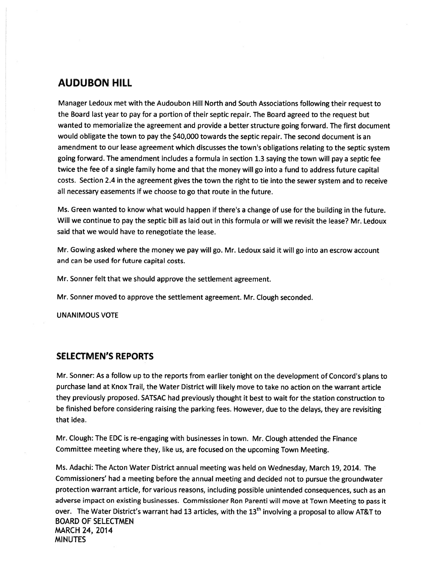# AUDUBON HILL

Manager Ledoux met with the Audoubon Hill North and South Associations following their reques<sup>t</sup> to the Board last year to pay for <sup>a</sup> portion of their septic repair. The Board agreed to the reques<sup>t</sup> but wanted to memorialize the agreemen<sup>t</sup> and provide <sup>a</sup> better structure going forward. The first document would obligate the town to pay the \$40,000 towards the septic repair. The second document is an amendment to our lease agreemen<sup>t</sup> which discusses the town's obligations relating to the septic system going forward. The amendment includes <sup>a</sup> formula in section 1.3 saying the town will pay <sup>a</sup> septic fee twice the fee of <sup>a</sup> single family home and that the money will go into <sup>a</sup> fund to address future capital costs. Section 2.4 in the agreemen<sup>t</sup> <sup>g</sup>ives the town the right to tie into the sewer system and to receive all necessary easements if we choose to go that route in the future.

Ms. Green wanted to know what would happen if there's <sup>a</sup> change of use for the building in the future. Will we continue to pay the septic bill as laid out in this formula or will we revisit the lease? Mr. Ledoux said that we would have to renegotiate the lease.

Mr. Gowing asked where the money we pay will go. Mr. Ledoux said it will go into an escrow account and can be used for future capital costs.

Mr. Sonner felt that we should approve the settlement agreement.

Mr. Sonner moved to approve the settlement agreement. Mr. Clough seconded.

UNANIMOUS VOTE

## SELECTMEN'S REPORTS

Mr. Sonner: As <sup>a</sup> follow up to the reports from earlier tonight on the development of Concord's <sup>p</sup>lans to purchase land at Knox Trail, the Water District will likely move to take no action on the warrant article they previously proposed. SATSAC had previously thought it best to wait for the station construction to be finished before considering raising the parking fees. However, due to the delays, they are revisiting that idea.

Mr. Clough: The EDC is re-engaging with businesses in town. Mr. Clough attended the Finance Committee meeting where they, like us, are focused on the upcoming Town Meeting.

Ms. Adachi: The Acton Water District annual meeting was held on Wednesday, March 19, 2014. The Commissioners' had <sup>a</sup> meeting before the annual meeting and decided not to pursue the groundwater protection warrant article, for various reasons, including possible unintended consequences, such as an adverse impact on existing businesses. Commissioner Ron Parenti will move at Town Meeting to pass it over. The Water District's warrant had 13 articles, with the 13<sup>th</sup> involving a proposal to allow AT&T to BOARD OF SELECTMEN MARCH 24, 2014 **MINUTES**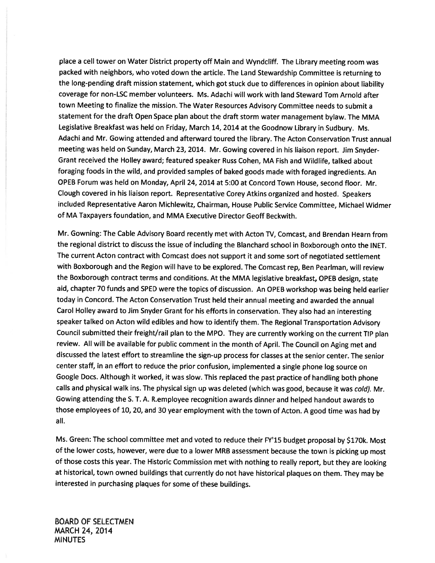<sup>p</sup>lace <sup>a</sup> cell tower on Water District property off Main and Wyndcliff. The Library meeting room was packed with neighbors, who voted down the article. The Land Stewardship Committee is returning to the long-pending draft mission statement, which go<sup>t</sup> stuck due to differences in opinion about liability coverage for non-LSC member volunteers. Ms. Adachi will work with land Steward Tom Arnold after town Meeting to finalize the mission. The Water Resources Advisory Committee needs to submit <sup>a</sup> statement for the draft Open Space <sup>p</sup>lan about the draft storm water managemen<sup>t</sup> bylaw. The MMA Legislative Breakfast was held on Friday, March 14, <sup>2014</sup> at the Goodnow Library in Sudbury. Ms. Adachi and Mr. Gowing attended and afterward toured the library. The Acton Conservation Trust annual meeting was held on Sunday, March 23, 2014. Mr. Gowing covered in his liaison report. Jim Snyder-Grant received the Holley award; featured speaker Russ Cohen, MA Fish and Wildlife, talked about foraging foods in the wild, and provided samples of baked goods made with foraged ingredients. An OPEB Forum was held on Monday, April 24, 2014 at 5:00 at Concord Town House, second floor. Mr. Clough covered in his liaison report. Representative Corey Atkins organized and hosted. Speakers included Representative Aaron Michlewitz, Chairman, House Public Service Committee, Michael Widmer of MA Taxpayers foundation, and MMA Executive Director Geoff Beckwith.

Mr. Gowning: The Cable Advisory Board recently met with Acton TV, Comcast, and Brendan Hearn from the regional district to discuss the issue of including the Blanchard school in Boxborough onto the INET. The current Acton contract with Comcast does not suppor<sup>t</sup> it and some sort of negotiated settlement with Boxborough and the Region will have to be explored. The Comcast rep, Ben Pearlman, will review the Boxborough contract terms and conditions. At the MMA legislative breakfast, OPEB design, state aid, chapter <sup>70</sup> funds and SPED were the topics of discussion. An OPEB workshop was being held earlier today in Concord. The Acton Conservation Trust held their annual meeting and awarded the annual Carol Holley award to Jim Snyder Grant for his efforts in conservation. They also had an interesting speaker talked on Acton wild edibles and how to identify them. The Regional Transportation Advisory Council submitted their freight/rail <sup>p</sup>lan to the MPO. They are currently working on the current TIP <sup>p</sup>lan review. All will be available for public comment in the month of April. The Council on Aging met and discussed the latest effort to streamline the sign-up process for classes at the senior center. The senior center staff, in an effort to reduce the prior confusion, implemented <sup>a</sup> single <sup>p</sup>hone log source on Google Docs. Although it worked, it was slow. This replaced the pas<sup>t</sup> practice of handling both <sup>p</sup>hone calls and <sup>p</sup>hysical walk ins. The <sup>p</sup>hysical sign up was deleted (which was good, because it was cold). Mr. Gowing attending the S. T. A. R.employee recognition awards dinner and helped handout awards to those employees of 10, 20, and <sup>30</sup> year employment with the town of Acton. <sup>A</sup> goo<sup>d</sup> time was had by all.

Ms. Green: The school committee met and voted to reduce their FY'15 budget proposa<sup>l</sup> by \$170k. Most of the lower costs, however, were due to <sup>a</sup> lower MRB assessment because the town is <sup>p</sup>icking up most of those costs this year. The Historic Commission met with nothing to really report, but they are looking at historical, town owned buildings that currently do not have historical <sup>p</sup>laques on them. They may be interested in purchasing <sup>p</sup>laques for some of these buildings.